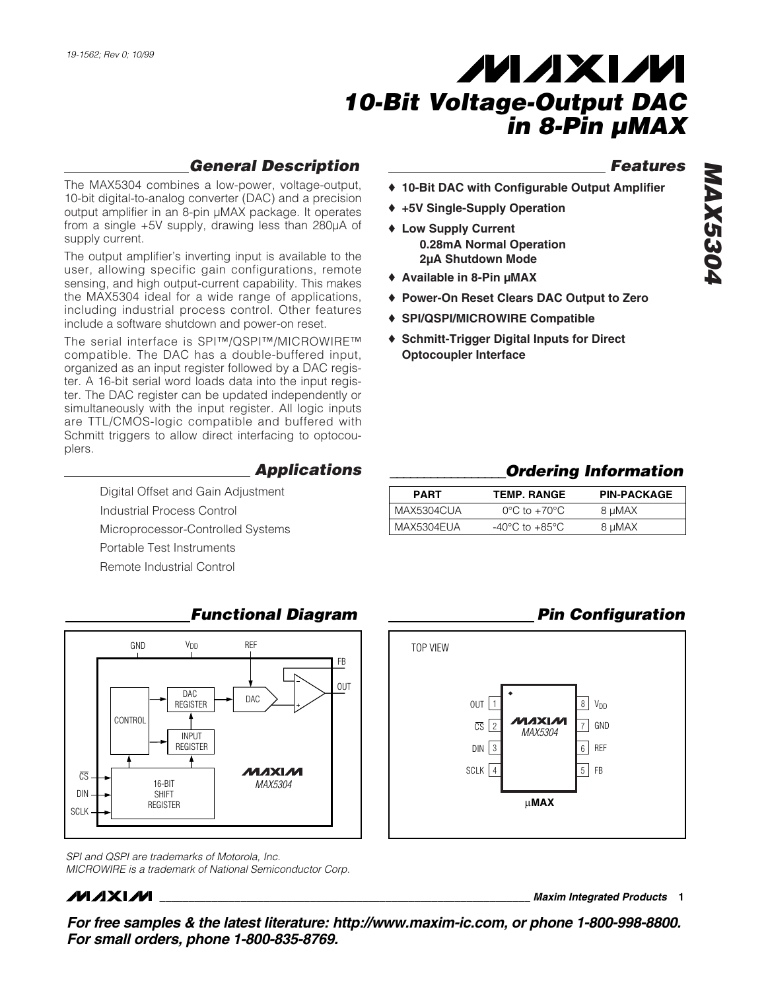supply current.

plers.

# **MAXM** *10-Bit Voltage-Output DAC in 8-Pin µMAX*

- ♦ **10-Bit DAC with Configurable Output Amplifier**
- ♦ **+5V Single-Supply Operation**
- ♦ **Low Supply Current 0.28mA Normal Operation 2µA Shutdown Mode**
- ♦ **Available in 8-Pin µMAX**
- ♦ **Power-On Reset Clears DAC Output to Zero**
- ♦ **SPI/QSPI/MICROWIRE Compatible**
- ♦ **Schmitt-Trigger Digital Inputs for Direct Optocoupler Interface**

# *Features MAX5304* **MAX5304**

### *\_\_\_\_\_\_\_\_\_\_\_\_\_\_\_\_\_Ordering Information*

*Pin Configuration*

| <b>PART</b> | <b>TEMP. RANGE</b>                 | <b>PIN-PACKAGE</b> |
|-------------|------------------------------------|--------------------|
| MAX5304CUA  | $0^{\circ}$ C to $+70^{\circ}$ C   | 8 µMAX             |
| MAX5304EUA  | $-40^{\circ}$ C to $+85^{\circ}$ C | 8 µMAX             |

## Remote Industrial Control

GND VDD REF FB OUT DAC DAC REGISTER CONTROL INPUT REGISTER ł **MAXIM**  $\overline{\mathbb{CS}}$ 16-BIT *MAX5304* SHIFT DIN **REGISTER** SCLK

*SPI and QSPI are trademarks of Motorola, Inc. MICROWIRE is a trademark of National Semiconductor Corp.*

### **MAXIM**

**\_\_\_\_\_\_\_\_\_\_\_\_\_\_\_\_\_\_\_\_\_\_\_\_\_\_\_\_\_\_\_\_\_\_\_\_\_\_\_\_\_\_\_\_\_\_\_\_\_\_\_\_\_\_\_\_\_\_\_\_\_\_\_\_** *Maxim Integrated Products* **1**

*For free samples & the latest literature: http://www.maxim-ic.com, or phone 1-800-998-8800. For small orders, phone 1-800-835-8769.*

### *Functional Diagram*

*Applications*

*General Description*

The MAX5304 combines a low-power, voltage-output, 10-bit digital-to-analog converter (DAC) and a precision output amplifier in an 8-pin µMAX package. It operates from a single +5V supply, drawing less than 280µA of

The output amplifier's inverting input is available to the user, allowing specific gain configurations, remote sensing, and high output-current capability. This makes the MAX5304 ideal for a wide range of applications, including industrial process control. Other features include a software shutdown and power-on reset. The serial interface is SPI™/QSPI™/MICROWIRE™ compatible. The DAC has a double-buffered input, organized as an input register followed by a DAC register. A 16-bit serial word loads data into the input register. The DAC register can be updated independently or simultaneously with the input register. All logic inputs are TTL/CMOS-logic compatible and buffered with Schmitt triggers to allow direct interfacing to optocou-

Digital Offset and Gain Adjustment

Microprocessor-Controlled Systems

Industrial Process Control

Portable Test Instruments

DIN 3 6 REF SCLK | 4 | | 5 | FB 1  $\overline{CS}$  2  $\overline{M}$   $\overline{M}$   $\overline{MS}$   $\overline{204}$   $\overline{20}$   $\overline{300}$ 8 V<sub>DD</sub> 7 OUT *MAX5304* µ**MAX** TOP VIEW 3 4

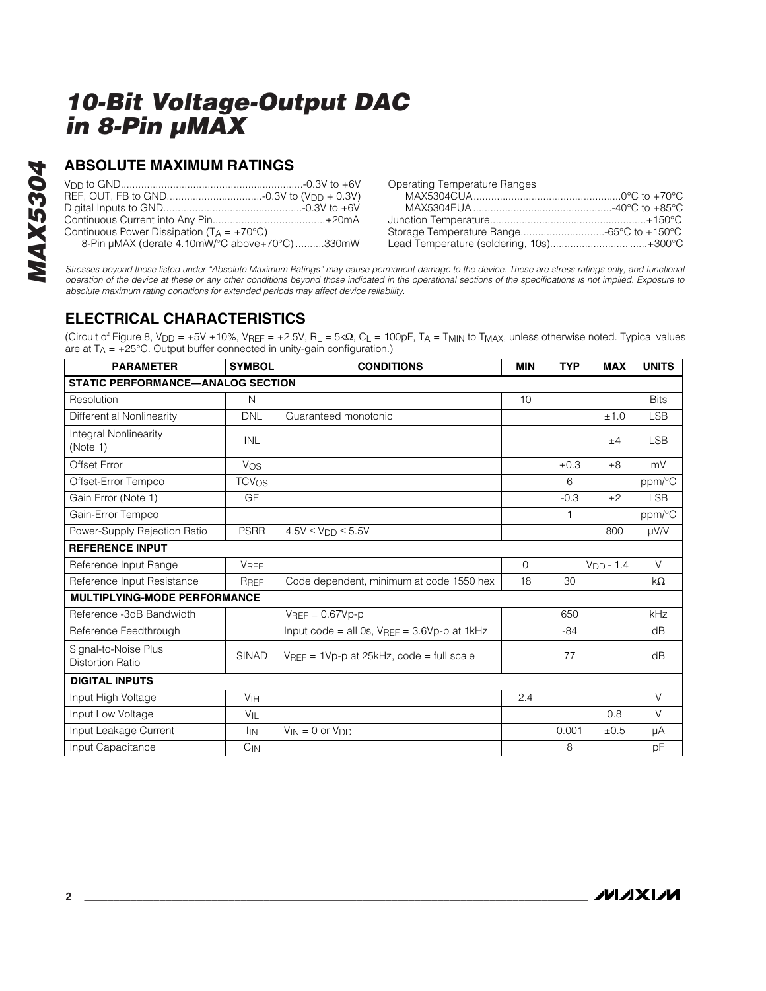### **ABSOLUTE MAXIMUM RATINGS**

|                                                       | <b>Operating Temp</b> |
|-------------------------------------------------------|-----------------------|
|                                                       | MAX5304C              |
|                                                       | <b>MAX5304EI</b>      |
|                                                       | Junction Tempe        |
| Continuous Power Dissipation ( $T_A = +70^{\circ}C$ ) | Storage Tempe         |
| 8-Pin µMAX (derate 4.10mW/°C above+70°C) 330mW        | <b>Lead Temperat</b>  |

| <b>Operating Temperature Ranges</b>      |  |
|------------------------------------------|--|
|                                          |  |
|                                          |  |
|                                          |  |
| Storage Temperature Range-65°C to +150°C |  |
| Lead Temperature (soldering, 10s)+300°C  |  |

*Stresses beyond those listed under "Absolute Maximum Ratings" may cause permanent damage to the device. These are stress ratings only, and functional operation of the device at these or any other conditions beyond those indicated in the operational sections of the specifications is not implied. Exposure to absolute maximum rating conditions for extended periods may affect device reliability.*

### **ELECTRICAL CHARACTERISTICS**

(Circuit of Figure 8, VDD = +5V ±10%, VREF = +2.5V, RL = 5kΩ, CL = 100pF, TA = TMIN to TMAX, unless otherwise noted. Typical values are at  $T_A = +25^{\circ}C$ . Output buffer connected in unity-gain configuration.)

| <b>PARAMETER</b>                                | <b>SYMBOL</b>           | <b>CONDITIONS</b>                               | <b>MIN</b>  | <b>TYP</b> | <b>MAX</b>  | <b>UNITS</b> |  |
|-------------------------------------------------|-------------------------|-------------------------------------------------|-------------|------------|-------------|--------------|--|
| <b>STATIC PERFORMANCE-ANALOG SECTION</b>        |                         |                                                 |             |            |             |              |  |
| Resolution                                      | N                       |                                                 | 10          |            |             | <b>Bits</b>  |  |
| Differential Nonlinearity                       | <b>DNL</b>              | Guaranteed monotonic                            |             |            | ±1.0        | <b>LSB</b>   |  |
| <b>Integral Nonlinearity</b><br>(Note 1)        | <b>INL</b>              |                                                 |             |            | ±4          | <b>LSB</b>   |  |
| Offset Error                                    | Vos                     |                                                 |             | ±0.3       | ±8          | mV           |  |
| Offset-Error Tempco                             | <b>TCV<sub>OS</sub></b> |                                                 |             | 6          |             | ppm/°C       |  |
| Gain Error (Note 1)                             | <b>GE</b>               |                                                 |             | $-0.3$     | ±2          | <b>LSB</b>   |  |
| Gain-Error Tempco                               |                         |                                                 |             |            |             | ppm/°C       |  |
| Power-Supply Rejection Ratio                    | <b>PSRR</b>             | $4.5V \leq V_{DD} \leq 5.5V$                    |             |            | 800         | µV/V         |  |
| <b>REFERENCE INPUT</b>                          |                         |                                                 |             |            |             |              |  |
| Reference Input Range                           | <b>VREF</b>             |                                                 | $\mathbf 0$ |            | $VDD - 1.4$ | $\vee$       |  |
| Reference Input Resistance                      | RREF                    | Code dependent, minimum at code 1550 hex        | 18          | 30         |             | $k\Omega$    |  |
| <b>MULTIPLYING-MODE PERFORMANCE</b>             |                         |                                                 |             |            |             |              |  |
| Reference -3dB Bandwidth                        |                         | $V_{\text{RFF}} = 0.67 V_{\text{D-D}}$          |             | 650        |             | kHz          |  |
| Reference Feedthrough                           |                         | Input code = all 0s, $VREF = 3.6Vp-p$ at $1kHz$ |             | $-84$      |             | dB           |  |
| Signal-to-Noise Plus<br><b>Distortion Ratio</b> | <b>SINAD</b>            | $VREF = 1Vp-p$ at 25kHz, code = full scale      |             | 77         |             | dB           |  |
| <b>DIGITAL INPUTS</b>                           |                         |                                                 |             |            |             |              |  |
| Input High Voltage                              | V <sub>IH</sub>         |                                                 | 2.4         |            |             | $\vee$       |  |
| Input Low Voltage                               | $V_{\parallel}$         |                                                 |             |            | 0.8         | $\vee$       |  |
| Input Leakage Current                           | <b>I</b> IN             | $V_{IN} = 0$ or $V_{DD}$                        |             | 0.001      | ±0.5        | μA           |  |
| Input Capacitance                               | $C_{IN}$                |                                                 |             | 8          |             | pF           |  |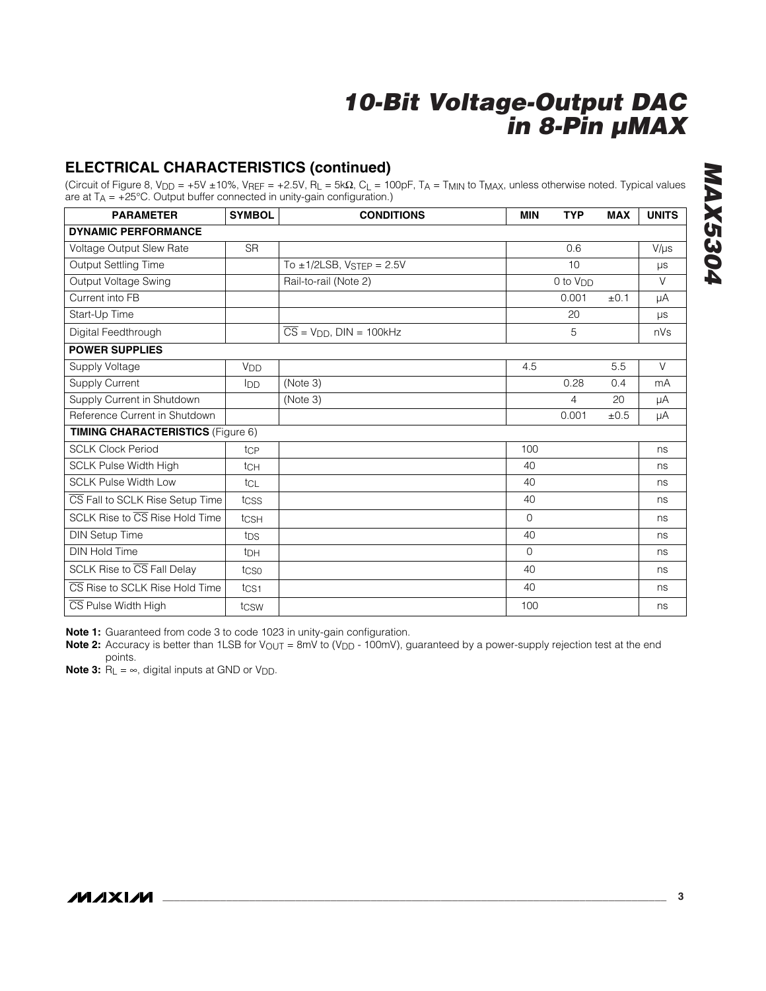### **ELECTRICAL CHARACTERISTICS (continued)**

(Circuit of Figure 8, VDD = +5V ±10%, VREF = +2.5V, RL = 5kΩ, CL = 100pF, TA = TMIN to TMAX, unless otherwise noted. Typical values are at  $T_A = +25^{\circ}$ C. Output buffer connected in unity-gain configuration.)

| <b>PARAMETER</b>                                   | <b>SYMBOL</b>         | <b>CONDITIONS</b>                         | <b>MIN</b> | <b>TYP</b>           | <b>MAX</b> | <b>UNITS</b> |  |
|----------------------------------------------------|-----------------------|-------------------------------------------|------------|----------------------|------------|--------------|--|
| <b>DYNAMIC PERFORMANCE</b>                         |                       |                                           |            |                      |            |              |  |
| Voltage Output Slew Rate                           | <b>SR</b>             |                                           |            | 0.6                  |            | $V/\mu s$    |  |
| Output Settling Time                               |                       | To $\pm$ 1/2LSB, VSTEP = 2.5V             |            | 10                   |            | μs           |  |
| Output Voltage Swing                               |                       | Rail-to-rail (Note 2)                     |            | 0 to V <sub>DD</sub> |            | $\vee$       |  |
| Current into FB                                    |                       |                                           |            | 0.001                | ±0.1       | μA           |  |
| Start-Up Time                                      |                       |                                           |            | 20                   |            | $\mu s$      |  |
| Digital Feedthrough                                |                       | $\overline{CS}$ = $V_{DD}$ , DIN = 100kHz |            | 5                    |            | nVs          |  |
| <b>POWER SUPPLIES</b>                              |                       |                                           |            |                      |            |              |  |
| Supply Voltage                                     | <b>V<sub>DD</sub></b> |                                           | 4.5        |                      | 5.5        | V            |  |
| Supply Current                                     | I <sub>DD</sub>       | (Note 3)                                  |            | 0.28                 | 0.4        | mA           |  |
| Supply Current in Shutdown                         |                       | (Note 3)                                  |            | 4                    | 20         | μA           |  |
| Reference Current in Shutdown                      |                       |                                           |            | 0.001                | $\pm 0.5$  | μA           |  |
| <b>TIMING CHARACTERISTICS (Figure 6)</b>           |                       |                                           |            |                      |            |              |  |
| <b>SCLK Clock Period</b>                           | tcp                   |                                           | 100        |                      |            | ns           |  |
| <b>SCLK Pulse Width High</b>                       | tc <sub>H</sub>       |                                           | 40         |                      |            | ns           |  |
| <b>SCLK Pulse Width Low</b>                        | tcl                   |                                           | 40         |                      |            | ns           |  |
| CS Fall to SCLK Rise Setup Time                    | tcss                  |                                           | 40         |                      |            | ns           |  |
| SCLK Rise to $\overline{\text{CS}}$ Rise Hold Time | tCSH                  |                                           | $\Omega$   |                      |            | ns           |  |
| <b>DIN Setup Time</b>                              | t <sub>DS</sub>       |                                           | 40         |                      |            | ns           |  |
| <b>DIN Hold Time</b>                               | t <sub>DH</sub>       |                                           | $\Omega$   |                      |            | ns           |  |
| SCLK Rise to $\overline{\text{CS}}$ Fall Delay     | tcso                  |                                           | 40         |                      |            | ns           |  |
| CS Rise to SCLK Rise Hold Time                     | $t_{\text{CS1}}$      |                                           | 40         |                      |            | ns           |  |
| CS Pulse Width High                                | tcsw                  |                                           | 100        |                      |            | ns           |  |

**Note 1:** Guaranteed from code 3 to code 1023 in unity-gain configuration.

Note 2: Accuracy is better than 1LSB for V<sub>OUT</sub> = 8mV to (V<sub>DD</sub> - 100mV), guaranteed by a power-supply rejection test at the end points.

**Note 3:**  $R_L = \infty$ , digital inputs at GND or V<sub>DD</sub>.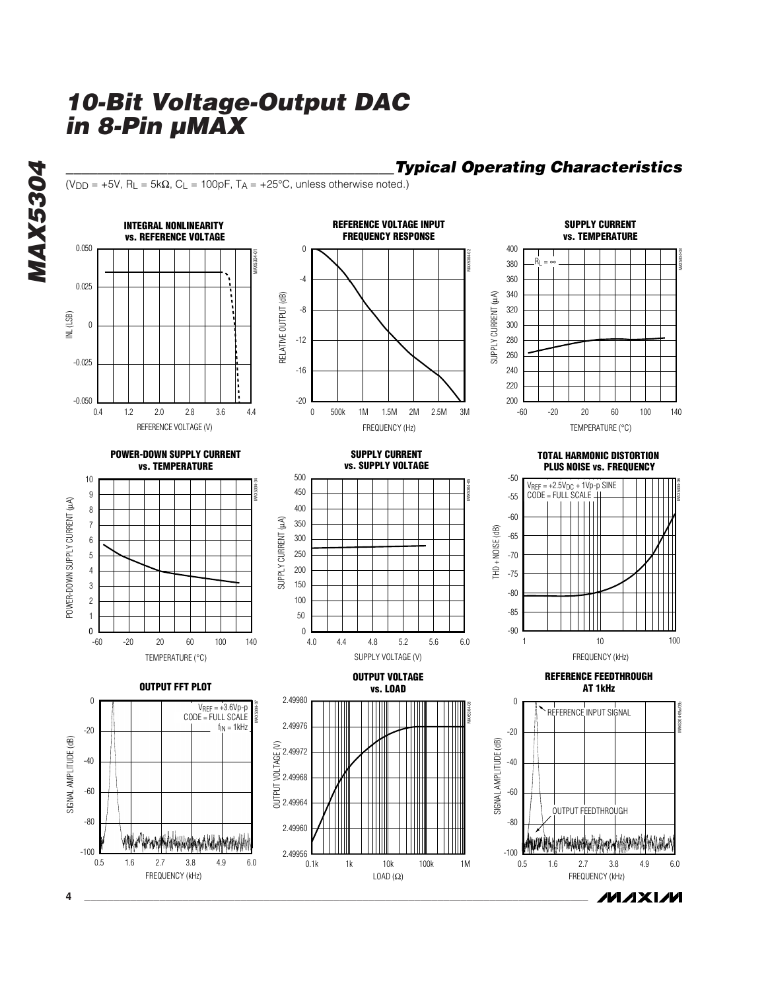$(V_{DD} = +5V$ , R<sub>L</sub> = 5k $\Omega$ , C<sub>L</sub> = 100pF, T<sub>A</sub> = +25°C, unless otherwise noted.)



*\_\_\_\_\_\_\_\_\_\_\_\_\_\_\_\_\_\_\_\_\_\_\_\_\_\_\_\_\_\_\_\_\_\_\_\_\_\_\_\_\_\_Typical Operating Characteristics*

**MAXIM** 

**MAX5304** *MAX5304*

**4 \_\_\_\_\_\_\_\_\_\_\_\_\_\_\_\_\_\_\_\_\_\_\_\_\_\_\_\_\_\_\_\_\_\_\_\_\_\_\_\_\_\_\_\_\_\_\_\_\_\_\_\_\_\_\_\_\_\_\_\_\_\_\_\_\_\_\_\_\_\_\_\_\_\_\_\_\_\_\_\_\_\_\_\_\_\_\_**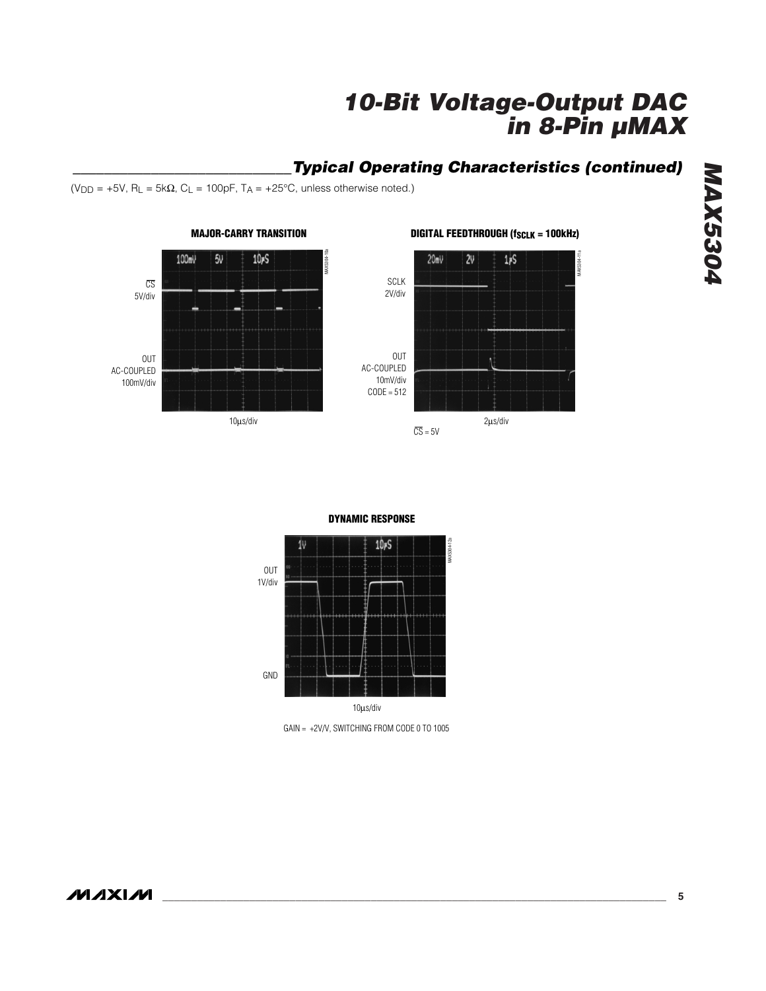MAX5304-11a

**AAX5304** 

### *\_\_\_\_\_\_\_\_\_\_\_\_\_\_\_\_\_\_\_\_\_\_\_\_\_\_\_\_Typical Operating Characteristics (continued)*

(V<sub>DD</sub> = +5V, R<sub>L</sub> = 5k $\Omega$ , C<sub>L</sub> = 100pF, T<sub>A</sub> = +25°C, unless otherwise noted.)



### **MAJOR-CARRY TRANSITION**



CS 5V/div

#### **DYNAMIC RESPONSE**



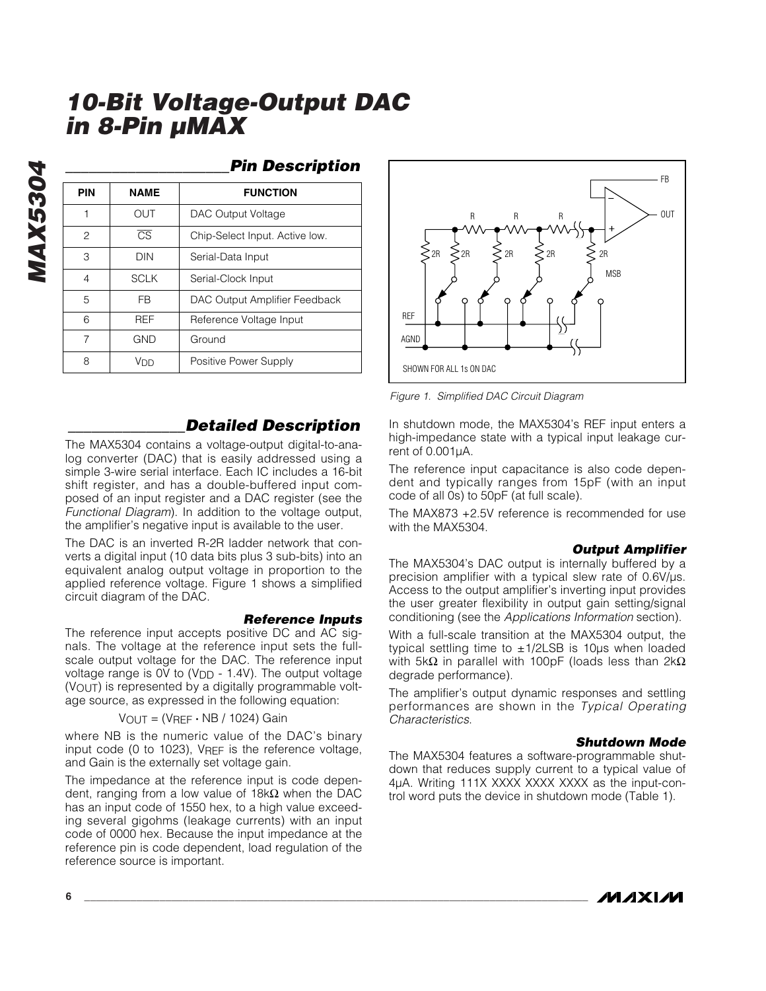**MAX5304** *MAX5304*

### *\_\_\_\_\_\_\_\_\_\_\_\_\_\_\_\_\_\_\_\_\_Pin Description*

| PIN | <b>NAME</b>            | <b>FUNCTION</b>                |
|-----|------------------------|--------------------------------|
|     | out                    | DAC Output Voltage             |
| 2   | $\overline{\text{CS}}$ | Chip-Select Input. Active low. |
| 3   | DIN                    | Serial-Data Input              |
| 4   | <b>SCLK</b>            | Serial-Clock Input             |
| 5   | FB                     | DAC Output Amplifier Feedback  |
| 6   | <b>RFF</b>             | Reference Voltage Input        |
| 7   | GND                    | Ground                         |
| 8   | Vnn                    | Positive Power Supply          |

### *\_\_\_\_\_\_\_\_\_\_\_\_\_\_\_Detailed Description*

The MAX5304 contains a voltage-output digital-to-analog converter (DAC) that is easily addressed using a simple 3-wire serial interface. Each IC includes a 16-bit shift register, and has a double-buffered input composed of an input register and a DAC register (see the *Functional Diagram*). In addition to the voltage output, the amplifier's negative input is available to the user.

The DAC is an inverted R-2R ladder network that converts a digital input (10 data bits plus 3 sub-bits) into an equivalent analog output voltage in proportion to the applied reference voltage. Figure 1 shows a simplified circuit diagram of the DAC.

#### *Reference Inputs*

The reference input accepts positive DC and AC signals. The voltage at the reference input sets the fullscale output voltage for the DAC. The reference input voltage range is OV to (V<sub>DD</sub> - 1.4V). The output voltage  $(V<sub>O</sub>U<sub>T</sub>)$  is represented by a digitally programmable voltage source, as expressed in the following equation:

VOUT = (VREF **·** NB / 1024) Gain

where NB is the numeric value of the DAC's binary input code (0 to 1023), VREF is the reference voltage, and Gain is the externally set voltage gain.

The impedance at the reference input is code dependent, ranging from a low value of  $18k\Omega$  when the DAC has an input code of 1550 hex, to a high value exceeding several gigohms (leakage currents) with an input code of 0000 hex. Because the input impedance at the reference pin is code dependent, load regulation of the reference source is important.



*Figure 1. Simplified DAC Circuit Diagram*

In shutdown mode, the MAX5304's REF input enters a high-impedance state with a typical input leakage current of 0.001µA.

The reference input capacitance is also code dependent and typically ranges from 15pF (with an input code of all 0s) to 50pF (at full scale).

The MAX873 +2.5V reference is recommended for use with the MAX5304.

#### *Output Amplifier*

The MAX5304's DAC output is internally buffered by a precision amplifier with a typical slew rate of 0.6V/µs. Access to the output amplifier's inverting input provides the user greater flexibility in output gain setting/signal conditioning (see the *Applications Information* section).

With a full-scale transition at the MAX5304 output, the typical settling time to  $\pm 1/2$ LSB is 10 $\mu$ s when loaded with 5kΩ in parallel with 100pF (loads less than  $2kΩ$ degrade performance).

The amplifier's output dynamic responses and settling performances are shown in the *Typical Operating Characteristics*.

#### *Shutdown Mode*

The MAX5304 features a software-programmable shutdown that reduces supply current to a typical value of 4µA. Writing 111X XXXX XXXX XXXX as the input-control word puts the device in shutdown mode (Table 1).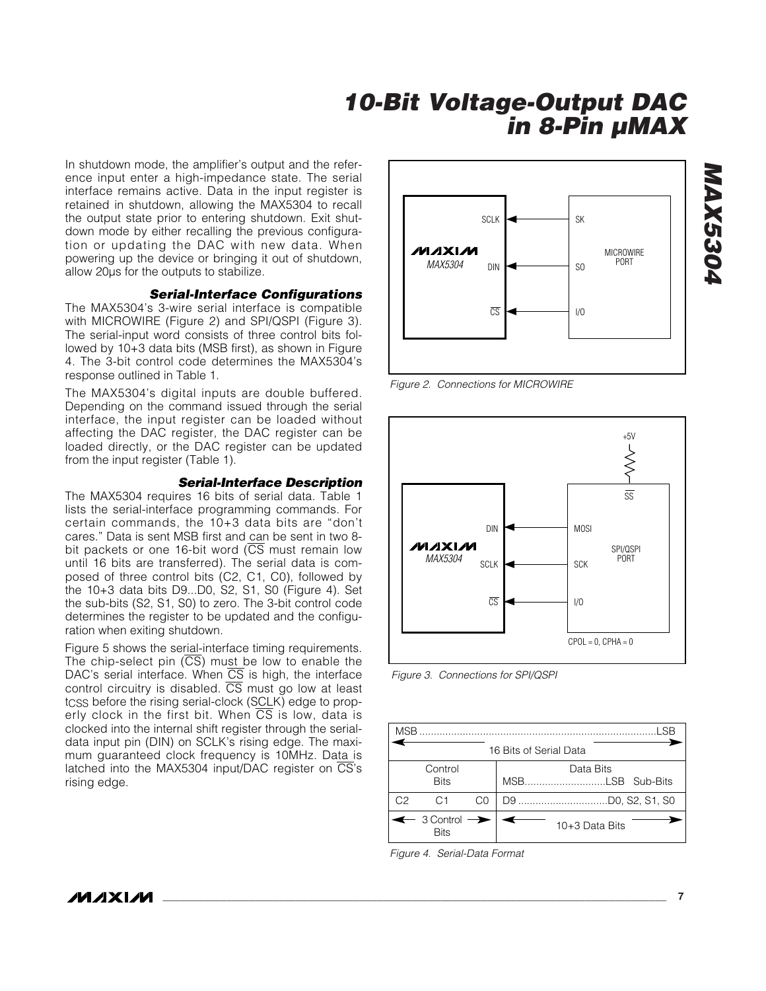In shutdown mode, the amplifier's output and the reference input enter a high-impedance state. The serial interface remains active. Data in the input register is retained in shutdown, allowing the MAX5304 to recall the output state prior to entering shutdown. Exit shutdown mode by either recalling the previous configuration or updating the DAC with new data. When powering up the device or bringing it out of shutdown, allow 20µs for the outputs to stabilize.

#### *Serial-Interface Configurations*

The MAX5304's 3-wire serial interface is compatible with MICROWIRE (Figure 2) and SPI/QSPI (Figure 3). The serial-input word consists of three control bits followed by 10+3 data bits (MSB first), as shown in Figure 4. The 3-bit control code determines the MAX5304's response outlined in Table 1.

The MAX5304's digital inputs are double buffered. Depending on the command issued through the serial interface, the input register can be loaded without affecting the DAC register, the DAC register can be loaded directly, or the DAC register can be updated from the input register (Table 1).

### *Serial-Interface Description*

The MAX5304 requires 16 bits of serial data. Table 1 lists the serial-interface programming commands. For certain commands, the 10+3 data bits are "don't cares." Data is sent MSB first and can be sent in two 8 bit packets or one 16-bit word  $(\overline{CS}$  must remain low until 16 bits are transferred). The serial data is composed of three control bits (C2, C1, C0), followed by the 10+3 data bits D9...D0, S2, S1, S0 (Figure 4). Set the sub-bits (S2, S1, S0) to zero. The 3-bit control code determines the register to be updated and the configuration when exiting shutdown.

Figure 5 shows the serial-interface timing requirements. The chip-select pin  $(\overline{CS})$  must be low to enable the DAC's serial interface. When  $\overline{CS}$  is high, the interface control circuitry is disabled.  $\overline{CS}$  must go low at least t<sub>CSS</sub> before the rising serial-clock (SCLK) edge to properly clock in the first bit. When  $\overline{CS}$  is low, data is clocked into the internal shift register through the serialdata input pin (DIN) on SCLK's rising edge. The maximum guaranteed clock frequency is 10MHz. Data is latched into the MAX5304 input/DAC register on CS's rising edge.



*Figure 2. Connections for MICROWIRE*



*Figure 3. Connections for SPI/QSPI*

| <b>MSB</b> |                                                     |    | .SR                    |
|------------|-----------------------------------------------------|----|------------------------|
|            |                                                     |    | 16 Bits of Serial Data |
|            | Control<br><b>Bits</b>                              |    | Data Bits              |
| C2         | C1                                                  | C0 |                        |
|            | $\leftarrow$ 3 Control $\rightarrow$<br><b>Rits</b> |    | 10+3 Data Bits         |

*Figure 4. Serial-Data Format*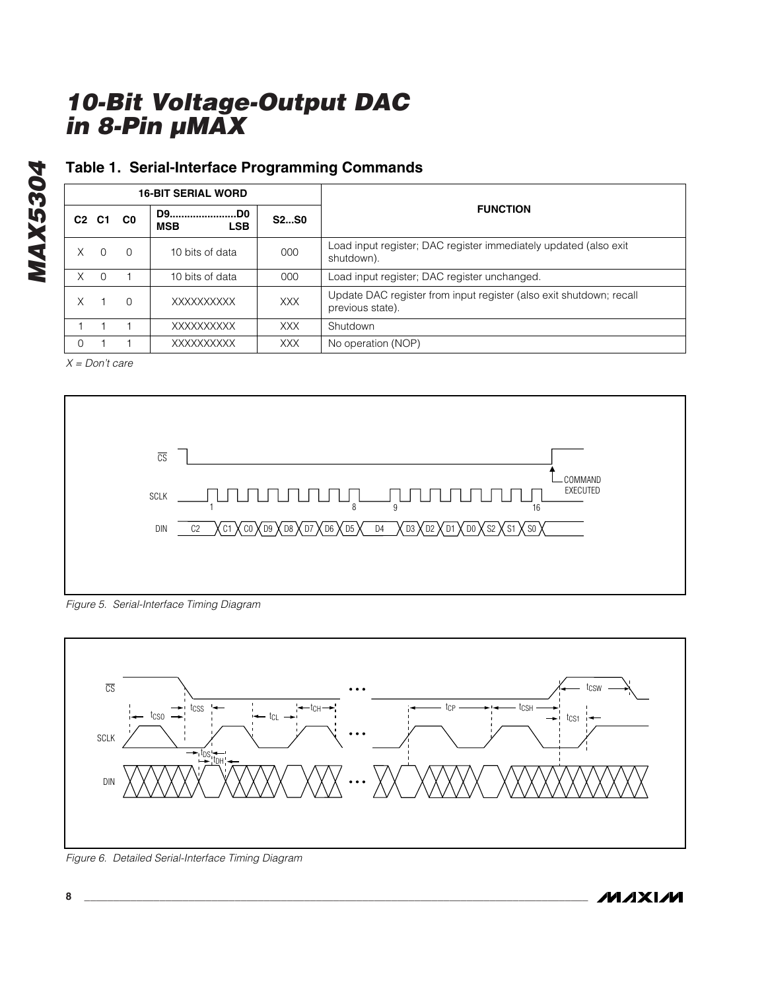### **Table 1. Serial-Interface Programming Commands**

|    | <b>16-BIT SERIAL WORD</b>     |                |                                  |             |                                                                                         |
|----|-------------------------------|----------------|----------------------------------|-------------|-----------------------------------------------------------------------------------------|
|    | C <sub>2</sub> C <sub>1</sub> | C <sub>0</sub> | D9D0<br><b>LSB</b><br><b>MSB</b> | <b>S2S0</b> | <b>FUNCTION</b>                                                                         |
| Χ  | $\Omega$                      | $\Omega$       | 10 bits of data                  | 000         | Load input register; DAC register immediately updated (also exit<br>shutdown).          |
| X. | $\Omega$                      |                | 10 bits of data                  | 000         | Load input register; DAC register unchanged.                                            |
| X  |                               | $\Omega$       | XXXXXXXXXX                       | XXX         | Update DAC register from input register (also exit shutdown; recall<br>previous state). |
|    |                               |                | XXXXXXXXXX                       | <b>XXX</b>  | Shutdown                                                                                |
| 0  |                               |                | XXXXXXXXXX                       | XXX         | No operation (NOP)                                                                      |

*X = Don't care*

*MAX5304*

**MAX5304** 



*Figure 5. Serial-Interface Timing Diagram*



*Figure 6. Detailed Serial-Interface Timing Diagram*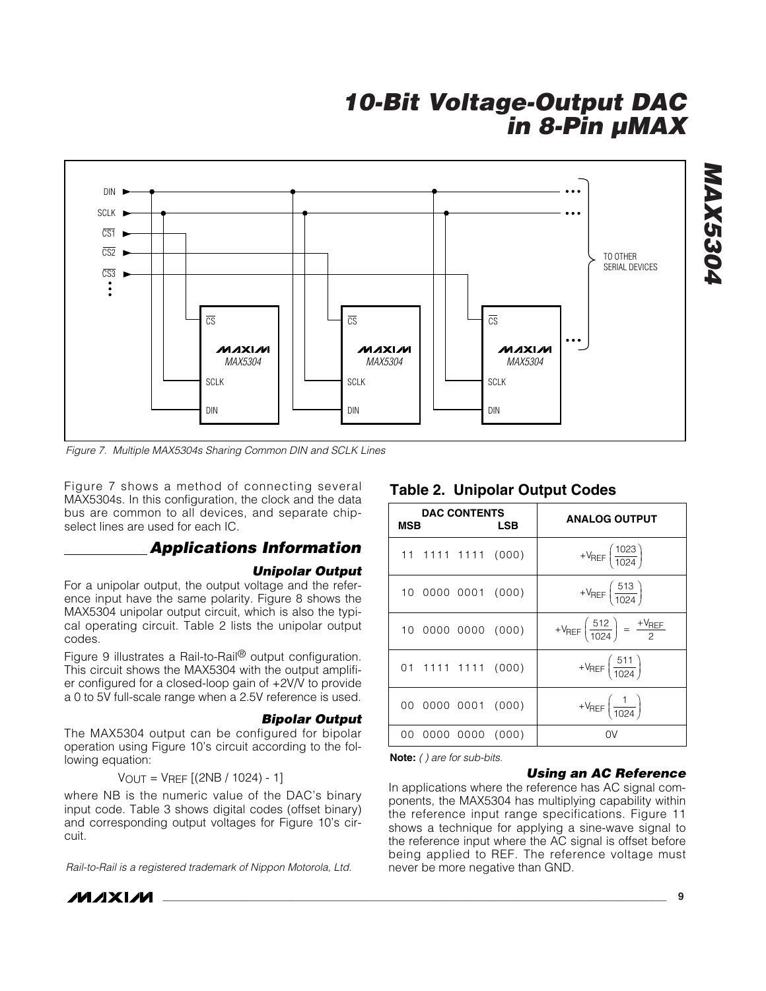

*Figure 7. Multiple MAX5304s Sharing Common DIN and SCLK Lines*

Figure 7 shows a method of connecting several MAX5304s. In this configuration, the clock and the data bus are common to all devices, and separate chipselect lines are used for each IC.

### *Applications Information*

#### *Unipolar Output*

For a unipolar output, the output voltage and the reference input have the same polarity. Figure 8 shows the MAX5304 unipolar output circuit, which is also the typical operating circuit. Table 2 lists the unipolar output codes.

Figure 9 illustrates a Rail-to-Rail® output configuration. This circuit shows the MAX5304 with the output amplifier configured for a closed-loop gain of +2V/V to provide a 0 to 5V full-scale range when a 2.5V reference is used.

#### *Bipolar Output*

The MAX5304 output can be configured for bipolar operation using Figure 10's circuit according to the following equation:

$$
V_{OUT} = V_{REF} [(2NB / 1024) - 1]
$$

where NB is the numeric value of the DAC's binary input code. Table 3 shows digital codes (offset binary) and corresponding output voltages for Figure 10's circuit.

*Rail-to-Rail is a registered trademark of Nippon Motorola, Ltd.*

### **Table 2. Unipolar Output Codes**

| <b>MSB</b> | <b>DAC CONTENTS</b> | LSB                | <b>ANALOG OUTPUT</b>                                             |
|------------|---------------------|--------------------|------------------------------------------------------------------|
|            |                     | 11 1111 1111 (000) | + $V_{REF}$ $\left(\frac{1023}{1024}\right)$                     |
|            |                     | 10 0000 0001 (000) | + $V_{REF}$ $\left(\frac{513}{1024}\right)$                      |
|            |                     | 10 0000 0000 (000) | + $V_{REF} \left( \frac{512}{1024} \right) = \frac{+V_{REF}}{2}$ |
|            |                     | 01 1111 1111 (000) | + $V_{REF}$ $\left(\frac{511}{1024}\right)$                      |
|            |                     | 00 0000 0001 (000) | + $V_{REF}\left(\frac{1}{1024}\right)$                           |
|            |                     | 00 0000 0000 (000) | 0V                                                               |

**Note:** *( ) are for sub-bits.*

#### *Using an AC Reference*

In applications where the reference has AC signal components, the MAX5304 has multiplying capability within the reference input range specifications. Figure 11 shows a technique for applying a sine-wave signal to the reference input where the AC signal is offset before being applied to REF. The reference voltage must never be more negative than GND.

*MAX5304* **MAX5304**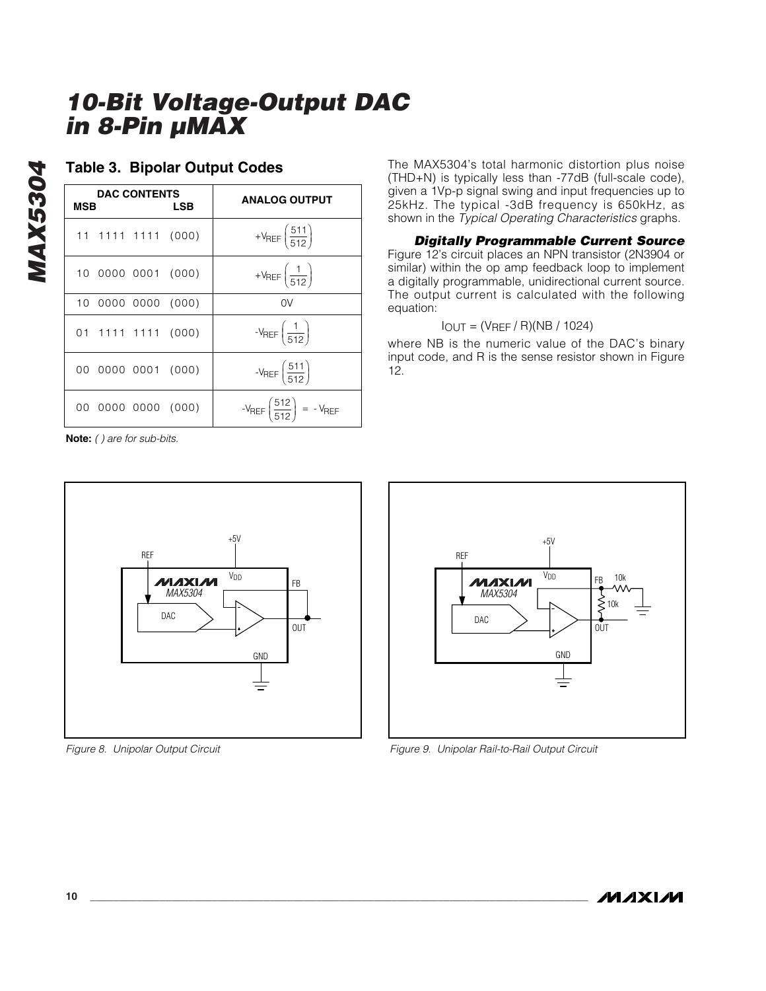| <b>DAC CONTENTS</b><br><b>MSB</b><br>LSB | <b>ANALOG OUTPUT</b>                                 |
|------------------------------------------|------------------------------------------------------|
| 11 1111 1111 (000)                       | + $V_{REF} \left( \frac{511}{512} \right)$           |
| 10 0000 0001 (000)                       | + $V_{REF}\left(\frac{1}{512}\right)$                |
| 10 0000 0000 (000)                       | 0V                                                   |
| 01 1111 1111 (000)                       | $-V_{REF}\left(\frac{1}{512}\right)$                 |
| 00 0000 0001 (000)                       | $-V_{REF}(\frac{511}{512})$                          |
| 00 0000 0000 (000)                       | $-V_{REF} \left( \frac{512}{512} \right) = -V_{REF}$ |

### **Table 3. Bipolar Output Codes**

**Note:** *( ) are for sub-bits.*

*MAX5304*

**MAX5304** 



*Figure 8. Unipolar Output Circuit*

The MAX5304's total harmonic distortion plus noise (THD+N) is typically less than -77dB (full-scale code), given a 1Vp-p signal swing and input frequencies up to 25kHz. The typical -3dB frequency is 650kHz, as shown in the *Typical Operating Characteristics* graphs.

*Digitally Programmable Current Source* Figure 12's circuit places an NPN transistor (2N3904 or similar) within the op amp feedback loop to implement a digitally programmable, unidirectional current source. The output current is calculated with the following equation:

### $I_{OUT} = (V_{REF} / R)(NB / 1024)$

where NB is the numeric value of the DAC's binary input code, and R is the sense resistor shown in Figure 12.



*Figure 9. Unipolar Rail-to-Rail Output Circuit*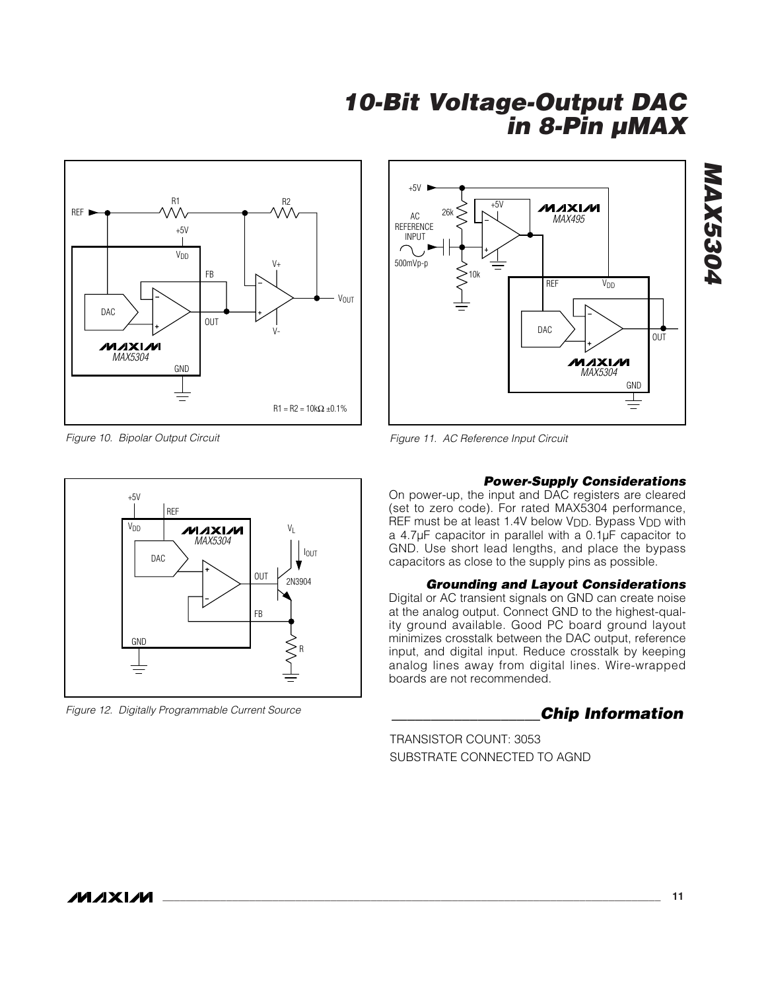



*Figure 10. Bipolar Output Circuit*



*Figure 12. Digitally Programmable Current Source \_\_\_\_\_\_\_\_\_\_\_\_\_\_\_\_\_\_\_Chip Information*

*Figure 11. AC Reference Input Circuit*

#### *Power-Supply Considerations*

On power-up, the input and DAC registers are cleared (set to zero code). For rated MAX5304 performance, REF must be at least 1.4V below V<sub>DD</sub>. Bypass V<sub>DD</sub> with a 4.7µF capacitor in parallel with a 0.1µF capacitor to GND. Use short lead lengths, and place the bypass capacitors as close to the supply pins as possible.

#### *Grounding and Layout Considerations*

Digital or AC transient signals on GND can create noise at the analog output. Connect GND to the highest-quality ground available. Good PC board ground layout minimizes crosstalk between the DAC output, reference input, and digital input. Reduce crosstalk by keeping analog lines away from digital lines. Wire-wrapped boards are not recommended.

TRANSISTOR COUNT: 3053 SUBSTRATE CONNECTED TO AGND *MAX5304*

**MAX5304**